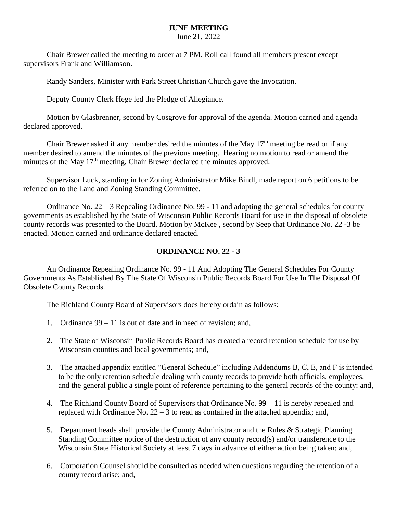## **JUNE MEETING**

June 21, 2022

Chair Brewer called the meeting to order at 7 PM. Roll call found all members present except supervisors Frank and Williamson.

Randy Sanders, Minister with Park Street Christian Church gave the Invocation.

Deputy County Clerk Hege led the Pledge of Allegiance.

Motion by Glasbrenner, second by Cosgrove for approval of the agenda. Motion carried and agenda declared approved.

Chair Brewer asked if any member desired the minutes of the May  $17<sup>th</sup>$  meeting be read or if any member desired to amend the minutes of the previous meeting. Hearing no motion to read or amend the minutes of the May  $17<sup>th</sup>$  meeting, Chair Brewer declared the minutes approved.

Supervisor Luck, standing in for Zoning Administrator Mike Bindl, made report on 6 petitions to be referred on to the Land and Zoning Standing Committee.

Ordinance No. 22 – 3 Repealing Ordinance No. 99 - 11 and adopting the general schedules for county governments as established by the State of Wisconsin Public Records Board for use in the disposal of obsolete county records was presented to the Board. Motion by McKee , second by Seep that Ordinance No. 22 -3 be enacted. Motion carried and ordinance declared enacted.

## **ORDINANCE NO. 22 - 3**

An Ordinance Repealing Ordinance No. 99 - 11 And Adopting The General Schedules For County Governments As Established By The State Of Wisconsin Public Records Board For Use In The Disposal Of Obsolete County Records.

The Richland County Board of Supervisors does hereby ordain as follows:

- 1. Ordinance 99 11 is out of date and in need of revision; and,
- 2. The State of Wisconsin Public Records Board has created a record retention schedule for use by Wisconsin counties and local governments; and,
- 3. The attached appendix entitled "General Schedule" including Addendums B, C, E, and F is intended to be the only retention schedule dealing with county records to provide both officials, employees, and the general public a single point of reference pertaining to the general records of the county; and,
- 4. The Richland County Board of Supervisors that Ordinance No. 99 11 is hereby repealed and replaced with Ordinance No.  $22 - 3$  to read as contained in the attached appendix; and,
- 5. Department heads shall provide the County Administrator and the Rules & Strategic Planning Standing Committee notice of the destruction of any county record(s) and/or transference to the Wisconsin State Historical Society at least 7 days in advance of either action being taken; and,
- 6. Corporation Counsel should be consulted as needed when questions regarding the retention of a county record arise; and,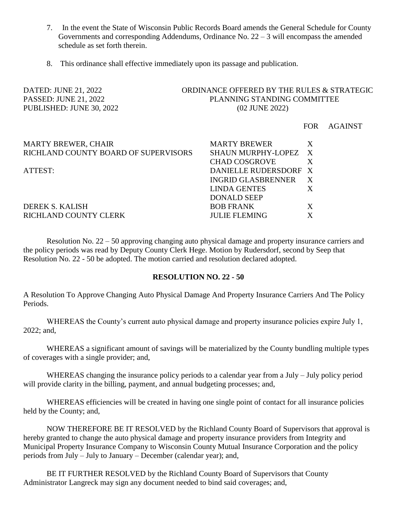- 7. In the event the State of Wisconsin Public Records Board amends the General Schedule for County Governments and corresponding Addendums, Ordinance No. 22 – 3 will encompass the amended schedule as set forth therein.
- 8. This ordinance shall effective immediately upon its passage and publication.

# DATED: JUNE 21, 2022 ORDINANCE OFFERED BY THE RULES & STRATEGIC PASSED: JUNE 21, 2022 PLANNING STANDING COMMITTEE PUBLISHED: JUNE 30, 2022 (02 JUNE 2022)

FOR AGAINST

| <b>MARTY BREWER, CHAIR</b>           | <b>MARTY BREWER</b>       |   |
|--------------------------------------|---------------------------|---|
| RICHLAND COUNTY BOARD OF SUPERVISORS | SHAUN MURPHY-LOPEZ X      |   |
|                                      | <b>CHAD COSGROVE</b>      |   |
| ATTEST:                              | DANIELLE RUDERSDORF X     |   |
|                                      | <b>INGRID GLASBRENNER</b> |   |
|                                      | <b>LINDA GENTES</b>       |   |
|                                      | <b>DONALD SEEP</b>        |   |
| <b>DEREK S. KALISH</b>               | <b>BOB FRANK</b>          | X |
| <b>RICHLAND COUNTY CLERK</b>         | <b>JULIE FLEMING</b>      |   |

Resolution No. 22 – 50 approving changing auto physical damage and property insurance carriers and the policy periods was read by Deputy County Clerk Hege. Motion by Rudersdorf, second by Seep that Resolution No. 22 - 50 be adopted. The motion carried and resolution declared adopted.

#### **RESOLUTION NO. 22 - 50**

A Resolution To Approve Changing Auto Physical Damage And Property Insurance Carriers And The Policy Periods.

WHEREAS the County's current auto physical damage and property insurance policies expire July 1, 2022; and,

WHEREAS a significant amount of savings will be materialized by the County bundling multiple types of coverages with a single provider; and,

WHEREAS changing the insurance policy periods to a calendar year from a July – July policy period will provide clarity in the billing, payment, and annual budgeting processes; and,

WHEREAS efficiencies will be created in having one single point of contact for all insurance policies held by the County; and,

NOW THEREFORE BE IT RESOLVED by the Richland County Board of Supervisors that approval is hereby granted to change the auto physical damage and property insurance providers from Integrity and Municipal Property Insurance Company to Wisconsin County Mutual Insurance Corporation and the policy periods from July – July to January – December (calendar year); and,

BE IT FURTHER RESOLVED by the Richland County Board of Supervisors that County Administrator Langreck may sign any document needed to bind said coverages; and,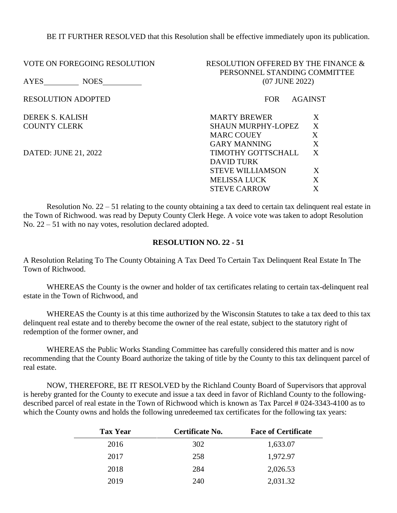BE IT FURTHER RESOLVED that this Resolution shall be effective immediately upon its publication.

| <b>VOTE ON FOREGOING RESOLUTION</b> | RESOLUTION OFFERED BY THE FINANCE &<br>PERSONNEL STANDING COMMITTEE |  |  |
|-------------------------------------|---------------------------------------------------------------------|--|--|
| AYES<br><b>NOES</b>                 | (07 JUNE 2022)                                                      |  |  |
| <b>RESOLUTION ADOPTED</b>           | <b>FOR</b><br><b>AGAINST</b>                                        |  |  |
| DEREK S. KALISH                     | X<br><b>MARTY BREWER</b>                                            |  |  |
| <b>COUNTY CLERK</b>                 | X<br><b>SHAUN MURPHY-LOPEZ</b>                                      |  |  |
|                                     | X<br><b>MARC COUEY</b>                                              |  |  |
|                                     | X<br><b>GARY MANNING</b>                                            |  |  |
| DATED: JUNE 21, 2022                | X<br>TIMOTHY GOTTSCHALL                                             |  |  |
|                                     | DAVID TURK                                                          |  |  |
|                                     | X<br><b>STEVE WILLIAMSON</b>                                        |  |  |
|                                     | X<br><b>MELISSA LUCK</b>                                            |  |  |
|                                     | X<br><b>STEVE CARROW</b>                                            |  |  |
|                                     |                                                                     |  |  |

Resolution No. 22 – 51 relating to the county obtaining a tax deed to certain tax delinquent real estate in the Town of Richwood. was read by Deputy County Clerk Hege. A voice vote was taken to adopt Resolution No. 22 – 51 with no nay votes, resolution declared adopted.

### **RESOLUTION NO. 22 - 51**

A Resolution Relating To The County Obtaining A Tax Deed To Certain Tax Delinquent Real Estate In The Town of Richwood.

WHEREAS the County is the owner and holder of tax certificates relating to certain tax-delinquent real estate in the Town of Richwood, and

WHEREAS the County is at this time authorized by the Wisconsin Statutes to take a tax deed to this tax delinquent real estate and to thereby become the owner of the real estate, subject to the statutory right of redemption of the former owner, and

WHEREAS the Public Works Standing Committee has carefully considered this matter and is now recommending that the County Board authorize the taking of title by the County to this tax delinquent parcel of real estate.

NOW, THEREFORE, BE IT RESOLVED by the Richland County Board of Supervisors that approval is hereby granted for the County to execute and issue a tax deed in favor of Richland County to the followingdescribed parcel of real estate in the Town of Richwood which is known as Tax Parcel # 024-3343-4100 as to which the County owns and holds the following unredeemed tax certificates for the following tax years:

| <b>Tax Year</b> | Certificate No. | <b>Face of Certificate</b> |
|-----------------|-----------------|----------------------------|
| 2016            | 302             | 1,633.07                   |
| 2017            | 258             | 1,972.97                   |
| 2018            | 284             | 2,026.53                   |
| 2019            | 240             | 2,031.32                   |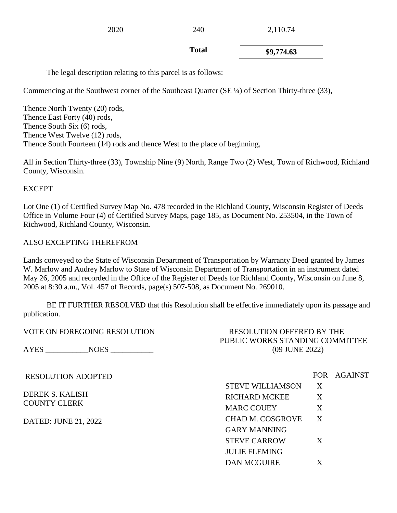2020 240 2,110.74

**Total \$9,774.63**

The legal description relating to this parcel is as follows:

Commencing at the Southwest corner of the Southeast Quarter (SE ¼) of Section Thirty-three (33),

Thence North Twenty (20) rods, Thence East Forty (40) rods, Thence South Six (6) rods, Thence West Twelve (12) rods, Thence South Fourteen (14) rods and thence West to the place of beginning,

All in Section Thirty-three (33), Township Nine (9) North, Range Two (2) West, Town of Richwood, Richland County, Wisconsin.

# EXCEPT

Lot One (1) of Certified Survey Map No. 478 recorded in the Richland County, Wisconsin Register of Deeds Office in Volume Four (4) of Certified Survey Maps, page 185, as Document No. 253504, in the Town of Richwood, Richland County, Wisconsin.

## ALSO EXCEPTING THEREFROM

Lands conveyed to the State of Wisconsin Department of Transportation by Warranty Deed granted by James W. Marlow and Audrey Marlow to State of Wisconsin Department of Transportation in an instrument dated May 26, 2005 and recorded in the Office of the Register of Deeds for Richland County, Wisconsin on June 8, 2005 at 8:30 a.m., Vol. 457 of Records, page(s) 507-508, as Document No. 269010.

BE IT FURTHER RESOLVED that this Resolution shall be effective immediately upon its passage and publication.

| <b>VOTE ON FOREGOING RESOLUTION</b>           | <b>RESOLUTION OFFERED BY THE</b>                  |   |             |
|-----------------------------------------------|---------------------------------------------------|---|-------------|
| AYES NOES                                     | PUBLIC WORKS STANDING COMMITTEE<br>(09 JUNE 2022) |   |             |
| <b>RESOLUTION ADOPTED</b>                     |                                                   |   | FOR AGAINST |
|                                               | <b>STEVE WILLIAMSON</b>                           | X |             |
| <b>DEREK S. KALISH</b><br><b>COUNTY CLERK</b> | <b>RICHARD MCKEE</b>                              | X |             |
|                                               | <b>MARC COUEY</b>                                 | X |             |
| DATED: JUNE 21, 2022                          | <b>CHAD M. COSGROVE</b>                           | X |             |
|                                               | <b>GARY MANNING</b>                               |   |             |
|                                               | <b>STEVE CARROW</b>                               | X |             |
|                                               | <b>JULIE FLEMING</b>                              |   |             |
|                                               | <b>DAN MCGUIRE</b>                                | X |             |
|                                               |                                                   |   |             |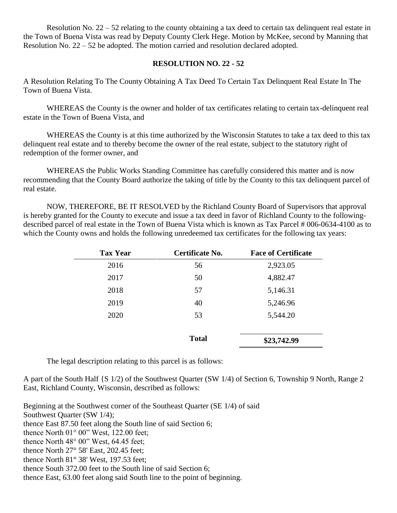Resolution No.  $22 - 52$  relating to the county obtaining a tax deed to certain tax delinquent real estate in the Town of Buena Vista was read by Deputy County Clerk Hege. Motion by McKee, second by Manning that Resolution No. 22 – 52 be adopted. The motion carried and resolution declared adopted.

## **RESOLUTION NO. 22 - 52**

A Resolution Relating To The County Obtaining A Tax Deed To Certain Tax Delinquent Real Estate In The Town of Buena Vista.

WHEREAS the County is the owner and holder of tax certificates relating to certain tax-delinquent real estate in the Town of Buena Vista, and

WHEREAS the County is at this time authorized by the Wisconsin Statutes to take a tax deed to this tax delinquent real estate and to thereby become the owner of the real estate, subject to the statutory right of redemption of the former owner, and

WHEREAS the Public Works Standing Committee has carefully considered this matter and is now recommending that the County Board authorize the taking of title by the County to this tax delinquent parcel of real estate.

NOW, THEREFORE, BE IT RESOLVED by the Richland County Board of Supervisors that approval is hereby granted for the County to execute and issue a tax deed in favor of Richland County to the followingdescribed parcel of real estate in the Town of Buena Vista which is known as Tax Parcel # 006-0634-4100 as to which the County owns and holds the following unredeemed tax certificates for the following tax years:

| <b>Tax Year</b> | <b>Certificate No.</b> | <b>Face of Certificate</b> |
|-----------------|------------------------|----------------------------|
| 2016            | 56                     | 2,923.05                   |
| 2017            | 50                     | 4,882.47                   |
| 2018            | 57                     | 5,146.31                   |
| 2019            | 40                     | 5,246.96                   |
| 2020            | 53                     | 5,544.20                   |
|                 |                        |                            |
|                 | <b>Total</b>           | \$23,742.99                |

The legal description relating to this parcel is as follows:

A part of the South Half {S 1/2) of the Southwest Quarter (SW 1/4) of Section 6, Township 9 North, Range 2 East, Richland County, Wisconsin, described as follows:

Beginning at the Southwest corner of the Southeast Quarter (SE 1/4) of said

Southwest Quarter (SW 1/4);

thence East 87.50 feet along the South line of said Section 6;

thence North  $01^{\circ}$  00" West, 122.00 feet;

thence North 48° 00" West, 64.45 feet;

thence North 27° 58' East, 202.45 feet;

thence North 81° 38' West, 197.53 feet;

thence South 372.00 feet to the South line of said Section 6;

thence East, 63.00 feet along said South line to the point of beginning.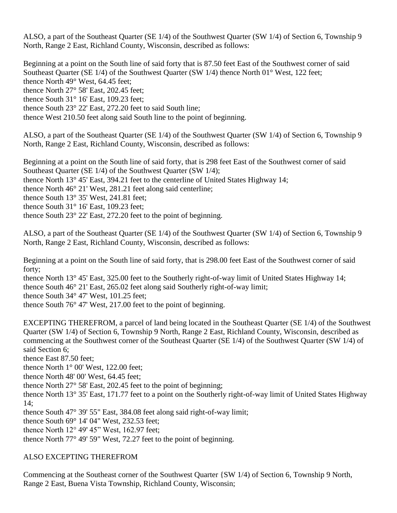ALSO, a part of the Southeast Quarter (SE 1/4) of the Southwest Quarter (SW 1/4) of Section 6, Township 9 North, Range 2 East, Richland County, Wisconsin, described as follows:

Beginning at a point on the South line of said forty that is 87.50 feet East of the Southwest corner of said Southeast Quarter (SE 1/4) of the Southwest Quarter (SW 1/4) thence North 01° West, 122 feet; thence North 49° West, 64.45 feet; thence North 27° 58' East, 202.45 feet; thence South 31° 16' East, 109.23 feet; thence South 23° 22' East, 272.20 feet to said South line; thence West 210.50 feet along said South line to the point of beginning.

ALSO, a part of the Southeast Quarter (SE 1/4) of the Southwest Quarter (SW 1/4) of Section 6, Township 9 North, Range 2 East, Richland County, Wisconsin, described as follows:

Beginning at a point on the South line of said forty, that is 298 feet East of the Southwest corner of said Southeast Quarter (SE 1/4) of the Southwest Quarter (SW 1/4); thence North 13° 45' East, 394.21 feet to the centerline of United States Highway 14; thence North 46° 21' West, 281.21 feet along said centerline; thence South 13° 35' West, 241.81 feet; thence South 31° 16' East, 109.23 feet; thence South 23° 22' East, 272.20 feet to the point of beginning.

ALSO, a part of the Southeast Quarter (SE 1/4) of the Southwest Quarter (SW 1/4) of Section 6, Township 9 North, Range 2 East, Richland County, Wisconsin, described as follows:

Beginning at a point on the South line of said forty, that is 298.00 feet East of the Southwest corner of said forty;

thence North 13° 45' East, 325.00 feet to the Southerly right-of-way limit of United States Highway 14; thence South 46° 21' East, 265.02 feet along said Southerly right-of-way limit; thence South 34° 47' West, 101.25 feet; thence South 76° 47' West, 217.00 feet to the point of beginning.

EXCEPTING THEREFROM, a parcel of land being located in the Southeast Quarter (SE 1/4) of the Southwest Quarter (SW 1/4) of Section 6, Township 9 North, Range 2 East, Richland County, Wisconsin, described as commencing at the Southwest corner of the Southeast Quarter (SE 1/4) of the Southwest Quarter (SW 1/4) of said Section 6;

thence East 87.50 feet;

thence North 1° 00' West, 122.00 feet;

thence North 48' 00' West, 64.45 feet;

thence North 27° 58' East, 202.45 feet to the point of beginning;

thence North 13° 35' East, 171.77 feet to a point on the Southerly right-of-way limit of United States Highway 14;

thence South 47° 39' 55" East, 384.08 feet along said right-of-way limit;

thence South 69° 14' 04" West, 232.53 feet;

thence North 12° 49' 45" West, 162.97 feet;

thence North 77° 49' 59" West, 72.27 feet to the point of beginning.

### ALSO EXCEPTING THEREFROM

Commencing at the Southeast corner of the Southwest Quarter {SW 1/4) of Section 6, Township 9 North, Range 2 East, Buena Vista Township, Richland County, Wisconsin;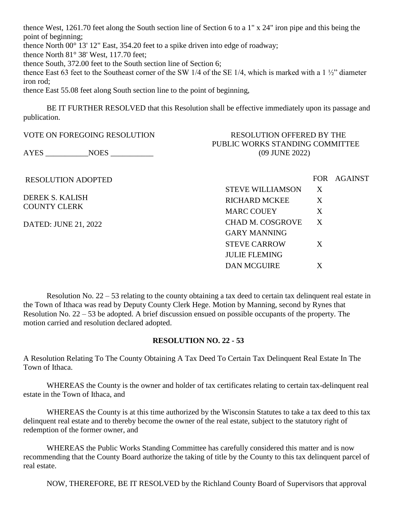thence West, 1261.70 feet along the South section line of Section 6 to a 1" x 24" iron pipe and this being the point of beginning;

thence North 00° 13' 12" East, 354.20 feet to a spike driven into edge of roadway;

thence North 81° 38' West, 117.70 feet;

thence South, 372.00 feet to the South section line of Section 6;

thence East 63 feet to the Southeast corner of the SW 1/4 of the SE 1/4, which is marked with a 1 ½" diameter iron rod;

thence East 55.08 feet along South section line to the point of beginning,

BE IT FURTHER RESOLVED that this Resolution shall be effective immediately upon its passage and publication.

| RESOLUTION OFFERED BY THE<br>PUBLIC WORKS STANDING COMMITTEE |       |         |
|--------------------------------------------------------------|-------|---------|
| (09 JUNE 2022)                                               |       |         |
|                                                              | FOR - | AGAINST |
| <b>STEVE WILLIAMSON</b>                                      | X     |         |
| <b>RICHARD MCKEE</b>                                         | X     |         |
| <b>MARC COUEY</b>                                            | X     |         |
| <b>CHAD M. COSGROVE</b>                                      | X     |         |
| <b>GARY MANNING</b>                                          |       |         |
| <b>STEVE CARROW</b>                                          | X     |         |
| <b>JULIE FLEMING</b>                                         |       |         |
| <b>DAN MCGUIRE</b>                                           | X     |         |
|                                                              |       |         |

Resolution No. 22 – 53 relating to the county obtaining a tax deed to certain tax delinquent real estate in the Town of Ithaca was read by Deputy County Clerk Hege. Motion by Manning, second by Rynes that Resolution No. 22 – 53 be adopted. A brief discussion ensued on possible occupants of the property. The motion carried and resolution declared adopted.

# **RESOLUTION NO. 22 - 53**

A Resolution Relating To The County Obtaining A Tax Deed To Certain Tax Delinquent Real Estate In The Town of Ithaca.

WHEREAS the County is the owner and holder of tax certificates relating to certain tax-delinquent real estate in the Town of Ithaca, and

WHEREAS the County is at this time authorized by the Wisconsin Statutes to take a tax deed to this tax delinquent real estate and to thereby become the owner of the real estate, subject to the statutory right of redemption of the former owner, and

WHEREAS the Public Works Standing Committee has carefully considered this matter and is now recommending that the County Board authorize the taking of title by the County to this tax delinquent parcel of real estate.

NOW, THEREFORE, BE IT RESOLVED by the Richland County Board of Supervisors that approval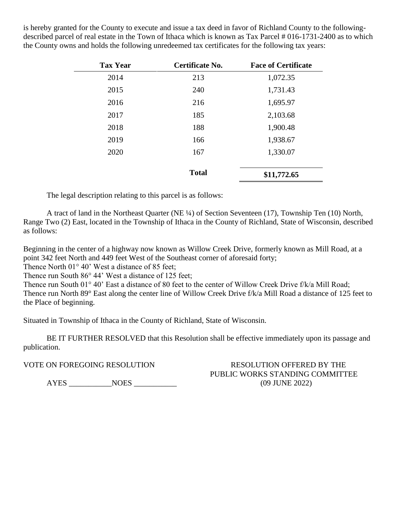is hereby granted for the County to execute and issue a tax deed in favor of Richland County to the followingdescribed parcel of real estate in the Town of Ithaca which is known as Tax Parcel # 016-1731-2400 as to which the County owns and holds the following unredeemed tax certificates for the following tax years:

| <b>Tax Year</b> | Certificate No. | <b>Face of Certificate</b> |
|-----------------|-----------------|----------------------------|
| 2014            | 213             | 1,072.35                   |
| 2015            | 240             | 1,731.43                   |
| 2016            | 216             | 1,695.97                   |
| 2017            | 185             | 2,103.68                   |
| 2018            | 188             | 1,900.48                   |
| 2019            | 166             | 1,938.67                   |
| 2020            | 167             | 1,330.07                   |
|                 | <b>Total</b>    | \$11,772.65                |

The legal description relating to this parcel is as follows:

A tract of land in the Northeast Quarter (NE ¼) of Section Seventeen (17), Township Ten (10) North, Range Two (2) East, located in the Township of Ithaca in the County of Richland, State of Wisconsin, described as follows:

Beginning in the center of a highway now known as Willow Creek Drive, formerly known as Mill Road, at a point 342 feet North and 449 feet West of the Southeast corner of aforesaid forty;

Thence North 01° 40' West a distance of 85 feet;

Thence run South 86° 44' West a distance of 125 feet;

Thence run South 01° 40' East a distance of 80 feet to the center of Willow Creek Drive f/k/a Mill Road; Thence run North 89° East along the center line of Willow Creek Drive f/k/a Mill Road a distance of 125 feet to the Place of beginning.

Situated in Township of Ithaca in the County of Richland, State of Wisconsin.

BE IT FURTHER RESOLVED that this Resolution shall be effective immediately upon its passage and publication.

AYES \_\_\_\_\_\_\_\_\_\_\_NOES \_\_\_\_\_\_\_\_\_\_\_ (09 JUNE 2022)

VOTE ON FOREGOING RESOLUTION RESOLUTION RESOLUTION OFFERED BY THE PUBLIC WORKS STANDING COMMITTEE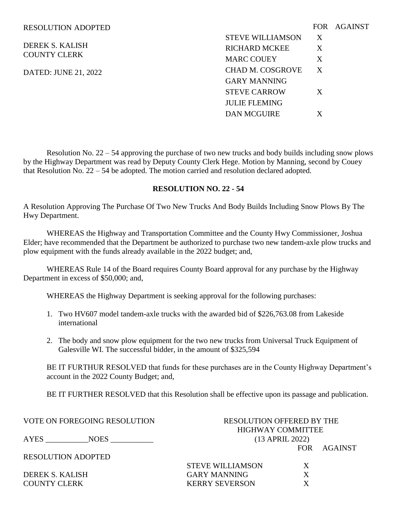#### RESOLUTION ADOPTED

DEREK S. KALISH COUNTY CLERK

DATED: JUNE 21, 2022

|                         |   | FOR AGAINST |
|-------------------------|---|-------------|
| <b>STEVE WILLIAMSON</b> | X |             |
| <b>RICHARD MCKEE</b>    | X |             |
| <b>MARC COUEY</b>       | X |             |
| CHAD M. COSGROVE        | X |             |
| GARY MANNING            |   |             |
| <b>STEVE CARROW</b>     | X |             |
| <b>JULIE FLEMING</b>    |   |             |
| <b>DAN MCGUIRE</b>      | X |             |

Resolution No. 22 – 54 approving the purchase of two new trucks and body builds including snow plows by the Highway Department was read by Deputy County Clerk Hege. Motion by Manning, second by Couey that Resolution No. 22 – 54 be adopted. The motion carried and resolution declared adopted.

### **RESOLUTION NO. 22 - 54**

A Resolution Approving The Purchase Of Two New Trucks And Body Builds Including Snow Plows By The Hwy Department.

WHEREAS the Highway and Transportation Committee and the County Hwy Commissioner, Joshua Elder; have recommended that the Department be authorized to purchase two new tandem-axle plow trucks and plow equipment with the funds already available in the 2022 budget; and,

WHEREAS Rule 14 of the Board requires County Board approval for any purchase by the Highway Department in excess of \$50,000; and,

WHEREAS the Highway Department is seeking approval for the following purchases:

- 1. Two HV607 model tandem-axle trucks with the awarded bid of \$226,763.08 from Lakeside international
- 2. The body and snow plow equipment for the two new trucks from Universal Truck Equipment of Galesville WI. The successful bidder, in the amount of \$325,594

BE IT FURTHUR RESOLVED that funds for these purchases are in the County Highway Department's account in the 2022 County Budget; and,

BE IT FURTHER RESOLVED that this Resolution shall be effective upon its passage and publication.

VOTE ON FOREGOING RESOLUTION RESOLUTION OFFERED BY THE HIGHWAY COMMITTEE AYES \_\_\_\_\_\_\_\_\_\_\_NOES \_\_\_\_\_\_\_\_\_\_\_ (13 APRIL 2022) FOR AGAINST RESOLUTION ADOPTED STEVE WILLIAMSON X DEREK S. KALISH GARY MANNING X COUNTY CLERK KERRY SEVERSON X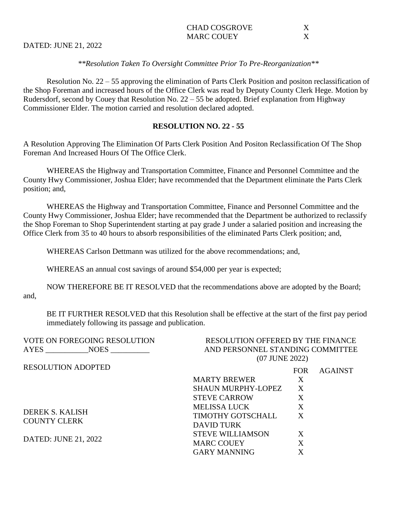| CHAD COSGROVE |  |
|---------------|--|
| MARC COUEY    |  |

DATED: JUNE 21, 2022

### *\*\*Resolution Taken To Oversight Committee Prior To Pre-Reorganization\*\**

Resolution No. 22 – 55 approving the elimination of Parts Clerk Position and positon reclassification of the Shop Foreman and increased hours of the Office Clerk was read by Deputy County Clerk Hege. Motion by Rudersdorf, second by Couey that Resolution No. 22 – 55 be adopted. Brief explanation from Highway Commissioner Elder. The motion carried and resolution declared adopted.

### **RESOLUTION NO. 22 - 55**

A Resolution Approving The Elimination Of Parts Clerk Position And Positon Reclassification Of The Shop Foreman And Increased Hours Of The Office Clerk.

WHEREAS the Highway and Transportation Committee, Finance and Personnel Committee and the County Hwy Commissioner, Joshua Elder; have recommended that the Department eliminate the Parts Clerk position; and,

WHEREAS the Highway and Transportation Committee, Finance and Personnel Committee and the County Hwy Commissioner, Joshua Elder; have recommended that the Department be authorized to reclassify the Shop Foreman to Shop Superintendent starting at pay grade J under a salaried position and increasing the Office Clerk from 35 to 40 hours to absorb responsibilities of the eliminated Parts Clerk position; and,

WHEREAS Carlson Dettmann was utilized for the above recommendations; and,

WHEREAS an annual cost savings of around \$54,000 per year is expected;

NOW THEREFORE BE IT RESOLVED that the recommendations above are adopted by the Board; and,

BE IT FURTHER RESOLVED that this Resolution shall be effective at the start of the first pay period immediately following its passage and publication.

| <b>VOTE ON FOREGOING RESOLUTION</b> | <b>RESOLUTION OFFERED BY THE FINANCE</b> |            |                |
|-------------------------------------|------------------------------------------|------------|----------------|
| AYES<br><b>NOES</b>                 | AND PERSONNEL STANDING COMMITTEE         |            |                |
|                                     | (07 JUNE 2022)                           |            |                |
| <b>RESOLUTION ADOPTED</b>           |                                          | <b>FOR</b> | <b>AGAINST</b> |
|                                     | <b>MARTY BREWER</b>                      | X          |                |
|                                     | <b>SHAUN MURPHY-LOPEZ</b>                | X          |                |
|                                     | <b>STEVE CARROW</b>                      | X          |                |
| <b>DEREK S. KALISH</b>              | <b>MELISSA LUCK</b>                      | X          |                |
|                                     | <b>TIMOTHY GOTSCHALL</b>                 | X          |                |
| <b>COUNTY CLERK</b>                 | DAVID TURK                               |            |                |
| DATED: JUNE 21, 2022                | <b>STEVE WILLIAMSON</b>                  | X          |                |
|                                     | <b>MARC COUEY</b>                        | X          |                |
|                                     | <b>GARY MANNING</b>                      | X          |                |
|                                     |                                          |            |                |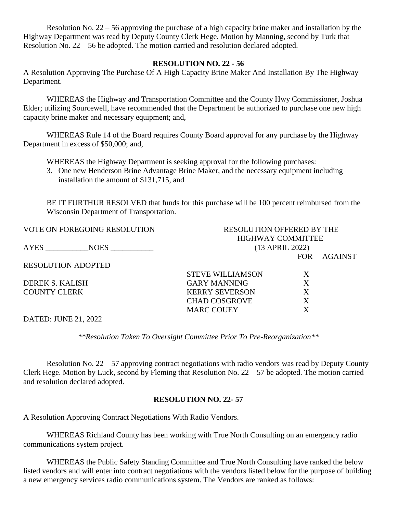Resolution No. 22 – 56 approving the purchase of a high capacity brine maker and installation by the Highway Department was read by Deputy County Clerk Hege. Motion by Manning, second by Turk that Resolution No. 22 – 56 be adopted. The motion carried and resolution declared adopted.

### **RESOLUTION NO. 22 - 56**

A Resolution Approving The Purchase Of A High Capacity Brine Maker And Installation By The Highway Department.

WHEREAS the Highway and Transportation Committee and the County Hwy Commissioner, Joshua Elder; utilizing Sourcewell, have recommended that the Department be authorized to purchase one new high capacity brine maker and necessary equipment; and,

WHEREAS Rule 14 of the Board requires County Board approval for any purchase by the Highway Department in excess of \$50,000; and,

WHEREAS the Highway Department is seeking approval for the following purchases:

3. One new Henderson Brine Advantage Brine Maker, and the necessary equipment including installation the amount of \$131,715, and

BE IT FURTHUR RESOLVED that funds for this purchase will be 100 percent reimbursed from the Wisconsin Department of Transportation.

| <b>VOTE ON FOREGOING RESOLUTION</b> | <b>RESOLUTION OFFERED BY THE</b> |            |         |
|-------------------------------------|----------------------------------|------------|---------|
|                                     | <b>HIGHWAY COMMITTEE</b>         |            |         |
| AYES<br>$NOES$ $\qquad \qquad$      | (13 APRIL 2022)                  |            |         |
|                                     |                                  | <b>FOR</b> | AGAINST |
| <b>RESOLUTION ADOPTED</b>           |                                  |            |         |
|                                     | <b>STEVE WILLIAMSON</b>          | Χ          |         |
| DEREK S. KALISH                     | <b>GARY MANNING</b>              | X          |         |
| <b>COUNTY CLERK</b>                 | <b>KERRY SEVERSON</b>            | X          |         |
|                                     | <b>CHAD COSGROVE</b>             |            |         |
|                                     | <b>MARC COUEY</b>                |            |         |
|                                     |                                  |            |         |

DATED: JUNE 21, 2022

*\*\*Resolution Taken To Oversight Committee Prior To Pre-Reorganization\*\**

Resolution No. 22 – 57 approving contract negotiations with radio vendors was read by Deputy County Clerk Hege. Motion by Luck, second by Fleming that Resolution No. 22 – 57 be adopted. The motion carried and resolution declared adopted.

## **RESOLUTION NO. 22- 57**

A Resolution Approving Contract Negotiations With Radio Vendors.

WHEREAS Richland County has been working with True North Consulting on an emergency radio communications system project.

WHEREAS the Public Safety Standing Committee and True North Consulting have ranked the below listed vendors and will enter into contract negotiations with the vendors listed below for the purpose of building a new emergency services radio communications system. The Vendors are ranked as follows: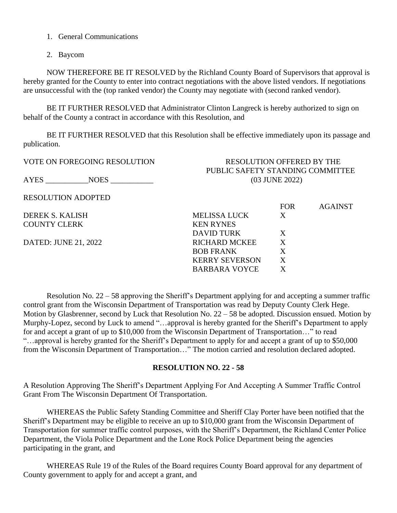- 1. General Communications
- 2. Baycom

NOW THEREFORE BE IT RESOLVED by the Richland County Board of Supervisors that approval is hereby granted for the County to enter into contract negotiations with the above listed vendors. If negotiations are unsuccessful with the (top ranked vendor) the County may negotiate with (second ranked vendor).

BE IT FURTHER RESOLVED that Administrator Clinton Langreck is hereby authorized to sign on behalf of the County a contract in accordance with this Resolution, and

BE IT FURTHER RESOLVED that this Resolution shall be effective immediately upon its passage and publication.

| VOTE ON FOREGOING RESOLUTION | <b>RESOLUTION OFFERED BY THE</b><br>PUBLIC SAFETY STANDING COMMITTEE |            |                |
|------------------------------|----------------------------------------------------------------------|------------|----------------|
| AYES<br><b>NOES</b>          | (03 JUNE 2022)                                                       |            |                |
| <b>RESOLUTION ADOPTED</b>    |                                                                      |            |                |
|                              |                                                                      | <b>FOR</b> | <b>AGAINST</b> |
| DEREK S. KALISH              | <b>MELISSA LUCK</b>                                                  | X          |                |
| <b>COUNTY CLERK</b>          | <b>KEN RYNES</b>                                                     |            |                |
|                              | <b>DAVID TURK</b>                                                    | X          |                |
| DATED: JUNE 21, 2022         | <b>RICHARD MCKEE</b>                                                 | X          |                |
|                              | <b>BOB FRANK</b>                                                     | X          |                |
|                              | <b>KERRY SEVERSON</b>                                                | X          |                |
|                              | <b>BARBARA VOYCE</b>                                                 | X          |                |
|                              |                                                                      |            |                |

Resolution No. 22 – 58 approving the Sheriff's Department applying for and accepting a summer traffic control grant from the Wisconsin Department of Transportation was read by Deputy County Clerk Hege. Motion by Glasbrenner, second by Luck that Resolution No. 22 – 58 be adopted. Discussion ensued. Motion by Murphy-Lopez, second by Luck to amend "…approval is hereby granted for the Sheriff's Department to apply for and accept a grant of up to \$10,000 from the Wisconsin Department of Transportation…" to read "…approval is hereby granted for the Sheriff's Department to apply for and accept a grant of up to \$50,000 from the Wisconsin Department of Transportation…" The motion carried and resolution declared adopted.

### **RESOLUTION NO. 22 - 58**

A Resolution Approving The Sheriff's Department Applying For And Accepting A Summer Traffic Control Grant From The Wisconsin Department Of Transportation.

WHEREAS the Public Safety Standing Committee and Sheriff Clay Porter have been notified that the Sheriff's Department may be eligible to receive an up to \$10,000 grant from the Wisconsin Department of Transportation for summer traffic control purposes, with the Sheriff's Department, the Richland Center Police Department, the Viola Police Department and the Lone Rock Police Department being the agencies participating in the grant, and

WHEREAS Rule 19 of the Rules of the Board requires County Board approval for any department of County government to apply for and accept a grant, and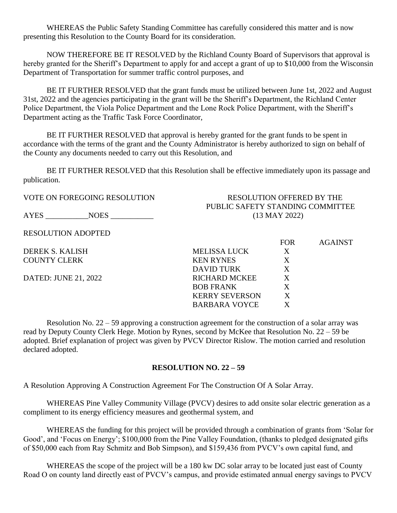WHEREAS the Public Safety Standing Committee has carefully considered this matter and is now presenting this Resolution to the County Board for its consideration.

NOW THEREFORE BE IT RESOLVED by the Richland County Board of Supervisors that approval is hereby granted for the Sheriff's Department to apply for and accept a grant of up to \$10,000 from the Wisconsin Department of Transportation for summer traffic control purposes, and

BE IT FURTHER RESOLVED that the grant funds must be utilized between June 1st, 2022 and August 31st, 2022 and the agencies participating in the grant will be the Sheriff's Department, the Richland Center Police Department, the Viola Police Department and the Lone Rock Police Department, with the Sheriff's Department acting as the Traffic Task Force Coordinator,

BE IT FURTHER RESOLVED that approval is hereby granted for the grant funds to be spent in accordance with the terms of the grant and the County Administrator is hereby authorized to sign on behalf of the County any documents needed to carry out this Resolution, and

BE IT FURTHER RESOLVED that this Resolution shall be effective immediately upon its passage and publication.

AYES \_\_\_\_\_\_\_\_\_\_\_NOES \_\_\_\_\_\_\_\_\_\_\_ (13 MAY 2022)

RESOLUTION ADOPTED

VOTE ON FOREGOING RESOLUTION RESOLUTION OFFERED BY THE PUBLIC SAFETY STANDING COMMITTEE

FOR AGAINST

DEREK S. KALISH MELISSA LUCK X COUNTY CLERK KEN RYNES X DAVID TURK X DATED: JUNE 21, 2022 RICHARD MCKEE X BOB FRANK X KERRY SEVERSON X BARBARA VOYCE X

Resolution No. 22 – 59 approving a construction agreement for the construction of a solar array was read by Deputy County Clerk Hege. Motion by Rynes, second by McKee that Resolution No. 22 – 59 be adopted. Brief explanation of project was given by PVCV Director Rislow. The motion carried and resolution declared adopted.

### **RESOLUTION NO. 22 – 59**

A Resolution Approving A Construction Agreement For The Construction Of A Solar Array.

WHEREAS Pine Valley Community Village (PVCV) desires to add onsite solar electric generation as a compliment to its energy efficiency measures and geothermal system, and

WHEREAS the funding for this project will be provided through a combination of grants from 'Solar for Good', and 'Focus on Energy'; \$100,000 from the Pine Valley Foundation, (thanks to pledged designated gifts of \$50,000 each from Ray Schmitz and Bob Simpson), and \$159,436 from PVCV's own capital fund, and

WHEREAS the scope of the project will be a 180 kw DC solar array to be located just east of County Road O on county land directly east of PVCV's campus, and provide estimated annual energy savings to PVCV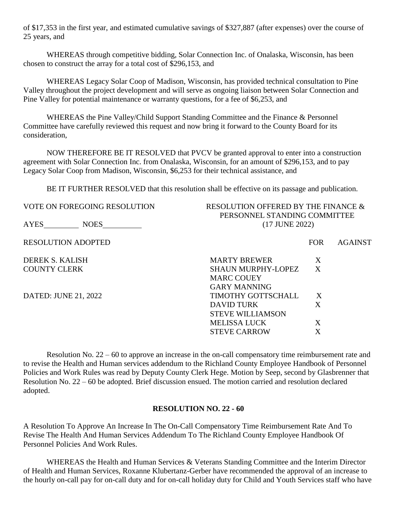of \$17,353 in the first year, and estimated cumulative savings of \$327,887 (after expenses) over the course of 25 years, and

WHEREAS through competitive bidding, Solar Connection Inc. of Onalaska, Wisconsin, has been chosen to construct the array for a total cost of \$296,153, and

WHEREAS Legacy Solar Coop of Madison, Wisconsin, has provided technical consultation to Pine Valley throughout the project development and will serve as ongoing liaison between Solar Connection and Pine Valley for potential maintenance or warranty questions, for a fee of \$6,253, and

WHEREAS the Pine Valley/Child Support Standing Committee and the Finance & Personnel Committee have carefully reviewed this request and now bring it forward to the County Board for its consideration,

NOW THEREFORE BE IT RESOLVED that PVCV be granted approval to enter into a construction agreement with Solar Connection Inc. from Onalaska, Wisconsin, for an amount of \$296,153, and to pay Legacy Solar Coop from Madison, Wisconsin, \$6,253 for their technical assistance, and

BE IT FURTHER RESOLVED that this resolution shall be effective on its passage and publication.

AYES NOES (17 JUNE 2022)

RESOLUTION ADOPTED THE RESOLUTION ARE RESOLUTION AND THE RESOLUTION ARE RESOLUTION ASSAULT AS A GAINST

DEREK S. KALISH **COUNTY CLERK** 

DATED: JUNE 21, 2022

VOTE ON FOREGOING RESOLUTION RESOLUTION OFFERED BY THE FINANCE  $\&$ PERSONNEL STANDING COMMITTEE

| <b>MARTY BREWER</b>       | X |
|---------------------------|---|
| <b>SHAUN MURPHY-LOPEZ</b> | X |
| <b>MARC COUEY</b>         |   |
| GARY MANNING              |   |
| <b>TIMOTHY GOTTSCHALL</b> | X |
| <b>DAVID TURK</b>         | X |
| <b>STEVE WILLIAMSON</b>   |   |
| <b>MELISSA LUCK</b>       | X |
| <b>STEVE CARROW</b>       | X |

Resolution No. 22 – 60 to approve an increase in the on-call compensatory time reimbursement rate and to revise the Health and Human services addendum to the Richland County Employee Handbook of Personnel Policies and Work Rules was read by Deputy County Clerk Hege. Motion by Seep, second by Glasbrenner that Resolution No. 22 – 60 be adopted. Brief discussion ensued. The motion carried and resolution declared adopted.

### **RESOLUTION NO. 22 - 60**

A Resolution To Approve An Increase In The On-Call Compensatory Time Reimbursement Rate And To Revise The Health And Human Services Addendum To The Richland County Employee Handbook Of Personnel Policies And Work Rules.

WHEREAS the Health and Human Services & Veterans Standing Committee and the Interim Director of Health and Human Services, Roxanne Klubertanz-Gerber have recommended the approval of an increase to the hourly on-call pay for on-call duty and for on-call holiday duty for Child and Youth Services staff who have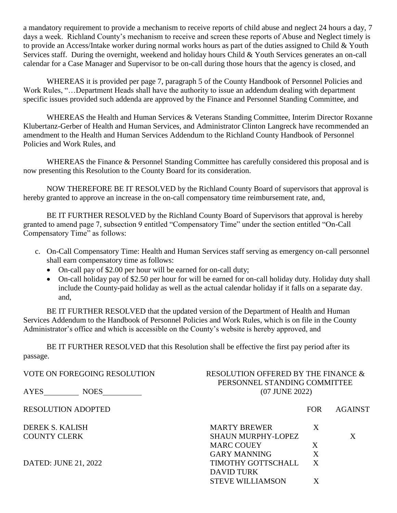a mandatory requirement to provide a mechanism to receive reports of child abuse and neglect 24 hours a day, 7 days a week. Richland County's mechanism to receive and screen these reports of Abuse and Neglect timely is to provide an Access/Intake worker during normal works hours as part of the duties assigned to Child & Youth Services staff. During the overnight, weekend and holiday hours Child & Youth Services generates an on-call calendar for a Case Manager and Supervisor to be on-call during those hours that the agency is closed, and

WHEREAS it is provided per page 7, paragraph 5 of the County Handbook of Personnel Policies and Work Rules, "…Department Heads shall have the authority to issue an addendum dealing with department specific issues provided such addenda are approved by the Finance and Personnel Standing Committee, and

WHEREAS the Health and Human Services & Veterans Standing Committee, Interim Director Roxanne Klubertanz-Gerber of Health and Human Services, and Administrator Clinton Langreck have recommended an amendment to the Health and Human Services Addendum to the Richland County Handbook of Personnel Policies and Work Rules, and

WHEREAS the Finance & Personnel Standing Committee has carefully considered this proposal and is now presenting this Resolution to the County Board for its consideration.

NOW THEREFORE BE IT RESOLVED by the Richland County Board of supervisors that approval is hereby granted to approve an increase in the on-call compensatory time reimbursement rate, and,

BE IT FURTHER RESOLVED by the Richland County Board of Supervisors that approval is hereby granted to amend page 7, subsection 9 entitled "Compensatory Time" under the section entitled "On-Call Compensatory Time" as follows:

- c. On-Call Compensatory Time: Health and Human Services staff serving as emergency on-call personnel shall earn compensatory time as follows:
	- On-call pay of \$2.00 per hour will be earned for on-call duty;
	- On-call holiday pay of \$2.50 per hour for will be earned for on-call holiday duty. Holiday duty shall include the County-paid holiday as well as the actual calendar holiday if it falls on a separate day. and,

BE IT FURTHER RESOLVED that the updated version of the Department of Health and Human Services Addendum to the Handbook of Personnel Policies and Work Rules, which is on file in the County Administrator's office and which is accessible on the County's website is hereby approved, and

BE IT FURTHER RESOLVED that this Resolution shall be effective the first pay period after its passage.

| VOTE ON FOREGOING RESOLUTION | RESOLUTION OFFERED BY THE FINANCE &<br>PERSONNEL STANDING COMMITTEE |   |                |
|------------------------------|---------------------------------------------------------------------|---|----------------|
| AYES<br><b>NOES</b>          | (07 JUNE 2022)                                                      |   |                |
| <b>RESOLUTION ADOPTED</b>    |                                                                     |   | <b>AGAINST</b> |
| DEREK S. KALISH              | <b>MARTY BREWER</b>                                                 | X |                |
| <b>COUNTY CLERK</b>          | <b>SHAUN MURPHY-LOPEZ</b>                                           |   | X              |
|                              | <b>MARC COUEY</b>                                                   | X |                |
|                              | <b>GARY MANNING</b>                                                 | X |                |
| DATED: JUNE 21, 2022         | TIMOTHY GOTTSCHALL                                                  | X |                |
|                              | <b>DAVID TURK</b>                                                   |   |                |
|                              | <b>STEVE WILLIAMSON</b>                                             |   |                |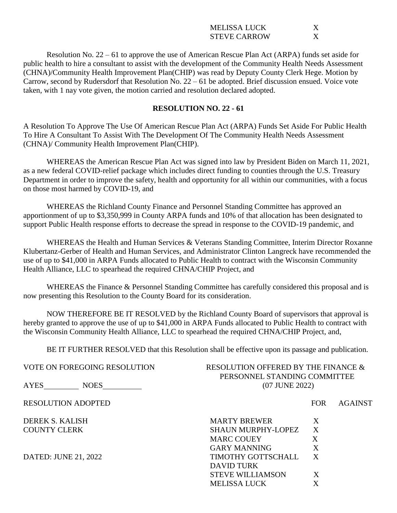| MELISSA LUCK        |  |
|---------------------|--|
| <b>STEVE CARROW</b> |  |

Resolution No. 22 – 61 to approve the use of American Rescue Plan Act (ARPA) funds set aside for public health to hire a consultant to assist with the development of the Community Health Needs Assessment (CHNA)/Community Health Improvement Plan(CHIP) was read by Deputy County Clerk Hege. Motion by Carrow, second by Rudersdorf that Resolution No. 22 – 61 be adopted. Brief discussion ensued. Voice vote taken, with 1 nay vote given, the motion carried and resolution declared adopted.

### **RESOLUTION NO. 22 - 61**

A Resolution To Approve The Use Of American Rescue Plan Act (ARPA) Funds Set Aside For Public Health To Hire A Consultant To Assist With The Development Of The Community Health Needs Assessment (CHNA)/ Community Health Improvement Plan(CHIP).

WHEREAS the American Rescue Plan Act was signed into law by President Biden on March 11, 2021, as a new federal COVID-relief package which includes direct funding to counties through the U.S. Treasury Department in order to improve the safety, health and opportunity for all within our communities, with a focus on those most harmed by COVID-19, and

WHEREAS the Richland County Finance and Personnel Standing Committee has approved an apportionment of up to \$3,350,999 in County ARPA funds and 10% of that allocation has been designated to support Public Health response efforts to decrease the spread in response to the COVID-19 pandemic, and

WHEREAS the Health and Human Services & Veterans Standing Committee, Interim Director Roxanne Klubertanz-Gerber of Health and Human Services, and Administrator Clinton Langreck have recommended the use of up to \$41,000 in ARPA Funds allocated to Public Health to contract with the Wisconsin Community Health Alliance, LLC to spearhead the required CHNA/CHIP Project, and

WHEREAS the Finance & Personnel Standing Committee has carefully considered this proposal and is now presenting this Resolution to the County Board for its consideration.

NOW THEREFORE BE IT RESOLVED by the Richland County Board of supervisors that approval is hereby granted to approve the use of up to \$41,000 in ARPA Funds allocated to Public Health to contract with the Wisconsin Community Health Alliance, LLC to spearhead the required CHNA/CHIP Project, and,

BE IT FURTHER RESOLVED that this Resolution shall be effective upon its passage and publication.

| VOTE ON FOREGOING RESOLUTION | RESOLUTION OFFERED BY THE FINANCE &<br>PERSONNEL STANDING COMMITTEE |              |                |
|------------------------------|---------------------------------------------------------------------|--------------|----------------|
| AYES<br><b>NOES</b>          | (07 JUNE 2022)                                                      |              |                |
| <b>RESOLUTION ADOPTED</b>    | <b>FOR</b>                                                          |              | <b>AGAINST</b> |
| <b>DEREK S. KALISH</b>       | <b>MARTY BREWER</b>                                                 | X            |                |
| <b>COUNTY CLERK</b>          | <b>SHAUN MURPHY-LOPEZ</b>                                           | X            |                |
|                              | <b>MARC COUEY</b>                                                   | X            |                |
|                              | GARY MANNING                                                        | $\mathbf{X}$ |                |
| DATED: JUNE 21, 2022         | TIMOTHY GOTTSCHALL                                                  | X            |                |
|                              | DAVID TURK                                                          |              |                |
|                              | <b>STEVE WILLIAMSON</b>                                             | X            |                |
|                              | <b>MELISSA LUCK</b>                                                 | X            |                |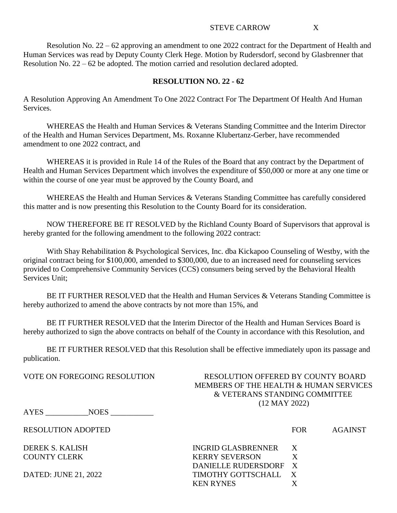#### STEVE CARROW X

Resolution No. 22 – 62 approving an amendment to one 2022 contract for the Department of Health and Human Services was read by Deputy County Clerk Hege. Motion by Rudersdorf, second by Glasbrenner that Resolution No. 22 – 62 be adopted. The motion carried and resolution declared adopted.

### **RESOLUTION NO. 22 - 62**

A Resolution Approving An Amendment To One 2022 Contract For The Department Of Health And Human Services.

WHEREAS the Health and Human Services & Veterans Standing Committee and the Interim Director of the Health and Human Services Department, Ms. Roxanne Klubertanz-Gerber, have recommended amendment to one 2022 contract, and

WHEREAS it is provided in Rule 14 of the Rules of the Board that any contract by the Department of Health and Human Services Department which involves the expenditure of \$50,000 or more at any one time or within the course of one year must be approved by the County Board, and

WHEREAS the Health and Human Services & Veterans Standing Committee has carefully considered this matter and is now presenting this Resolution to the County Board for its consideration.

NOW THEREFORE BE IT RESOLVED by the Richland County Board of Supervisors that approval is hereby granted for the following amendment to the following 2022 contract:

With Shay Rehabilitation & Psychological Services, Inc. dba Kickapoo Counseling of Westby, with the original contract being for \$100,000, amended to \$300,000, due to an increased need for counseling services provided to Comprehensive Community Services (CCS) consumers being served by the Behavioral Health Services Unit;

BE IT FURTHER RESOLVED that the Health and Human Services & Veterans Standing Committee is hereby authorized to amend the above contracts by not more than 15%, and

BE IT FURTHER RESOLVED that the Interim Director of the Health and Human Services Board is hereby authorized to sign the above contracts on behalf of the County in accordance with this Resolution, and

BE IT FURTHER RESOLVED that this Resolution shall be effective immediately upon its passage and publication.

## VOTE ON FOREGOING RESOLUTION RESOLUTION OFFERED BY COUNTY BOARD MEMBERS OF THE HEALTH & HUMAN SERVICES & VETERANS STANDING COMMITTEE (12 MAY 2022)

AYES \_\_\_\_\_\_\_\_\_\_\_NOES \_\_\_\_\_\_\_\_\_\_\_

RESOLUTION ADOPTED FOR AGAINST

DEREK S. KALISH INGRID GLASBRENNER X COUNTY CLERK KERRY SEVERSON X DANIELLE RUDERSDORF X DATED: JUNE 21, 2022 TIMOTHY GOTTSCHALL X KEN RYNES X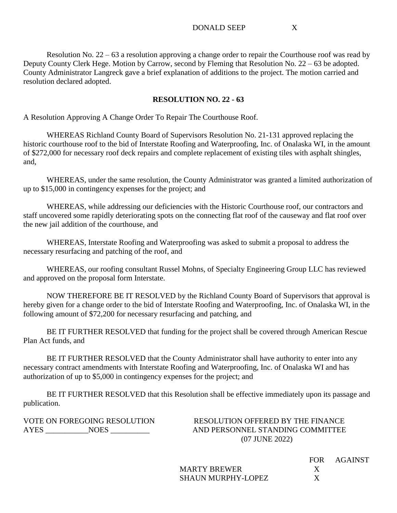Resolution No. 22 – 63 a resolution approving a change order to repair the Courthouse roof was read by Deputy County Clerk Hege. Motion by Carrow, second by Fleming that Resolution No. 22 – 63 be adopted. County Administrator Langreck gave a brief explanation of additions to the project. The motion carried and resolution declared adopted.

## **RESOLUTION NO. 22 - 63**

A Resolution Approving A Change Order To Repair The Courthouse Roof.

WHEREAS Richland County Board of Supervisors Resolution No. 21-131 approved replacing the historic courthouse roof to the bid of Interstate Roofing and Waterproofing, Inc. of Onalaska WI, in the amount of \$272,000 for necessary roof deck repairs and complete replacement of existing tiles with asphalt shingles, and,

WHEREAS, under the same resolution, the County Administrator was granted a limited authorization of up to \$15,000 in contingency expenses for the project; and

WHEREAS, while addressing our deficiencies with the Historic Courthouse roof, our contractors and staff uncovered some rapidly deteriorating spots on the connecting flat roof of the causeway and flat roof over the new jail addition of the courthouse, and

WHEREAS, Interstate Roofing and Waterproofing was asked to submit a proposal to address the necessary resurfacing and patching of the roof, and

WHEREAS, our roofing consultant Russel Mohns, of Specialty Engineering Group LLC has reviewed and approved on the proposal form Interstate.

NOW THEREFORE BE IT RESOLVED by the Richland County Board of Supervisors that approval is hereby given for a change order to the bid of Interstate Roofing and Waterproofing, Inc. of Onalaska WI, in the following amount of \$72,200 for necessary resurfacing and patching, and

BE IT FURTHER RESOLVED that funding for the project shall be covered through American Rescue Plan Act funds, and

BE IT FURTHER RESOLVED that the County Administrator shall have authority to enter into any necessary contract amendments with Interstate Roofing and Waterproofing, Inc. of Onalaska WI and has authorization of up to \$5,000 in contingency expenses for the project; and

BE IT FURTHER RESOLVED that this Resolution shall be effective immediately upon its passage and publication.

VOTE ON FOREGOING RESOLUTION RESOLUTION OFFERED BY THE FINANCE AYES NOES NOES AND PERSONNEL STANDING COMMITTEE (07 JUNE 2022)

> MARTY BREWER X SHAUN MURPHY-LOPEZ X

FOR AGAINST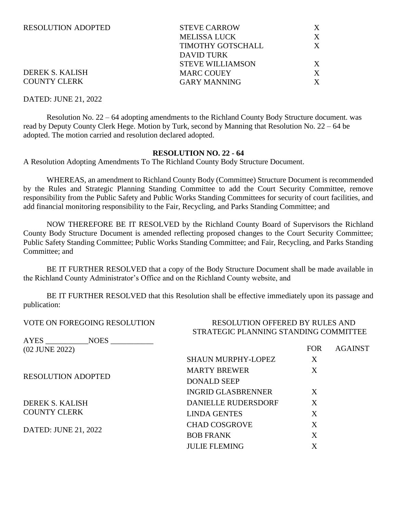| <b>STEVE CARROW</b>      |   |
|--------------------------|---|
| <b>MELISSA LUCK</b>      | X |
| <b>TIMOTHY GOTSCHALL</b> | X |
| DAVID TURK               |   |
| <b>STEVE WILLIAMSON</b>  | X |
| <b>MARC COUEY</b>        | X |
| <b>GARY MANNING</b>      | Y |
|                          |   |

### DEREK S. KALISH COUNTY CLERK

#### DATED: JUNE 21, 2022

Resolution No. 22 – 64 adopting amendments to the Richland County Body Structure document. was read by Deputy County Clerk Hege. Motion by Turk, second by Manning that Resolution No. 22 – 64 be adopted. The motion carried and resolution declared adopted.

#### **RESOLUTION NO. 22 - 64**

A Resolution Adopting Amendments To The Richland County Body Structure Document.

WHEREAS, an amendment to Richland County Body (Committee) Structure Document is recommended by the Rules and Strategic Planning Standing Committee to add the Court Security Committee, remove responsibility from the Public Safety and Public Works Standing Committees for security of court facilities, and add financial monitoring responsibility to the Fair, Recycling, and Parks Standing Committee; and

NOW THEREFORE BE IT RESOLVED by the Richland County Board of Supervisors the Richland County Body Structure Document is amended reflecting proposed changes to the Court Security Committee; Public Safety Standing Committee; Public Works Standing Committee; and Fair, Recycling, and Parks Standing Committee; and

BE IT FURTHER RESOLVED that a copy of the Body Structure Document shall be made available in the Richland County Administrator's Office and on the Richland County website, and

BE IT FURTHER RESOLVED that this Resolution shall be effective immediately upon its passage and publication:

## VOTE ON FOREGOING RESOLUTION RESOLUTION OFFERED BY RULES AND STRATEGIC PLANNING STANDING COMMITTEE

| AYES<br><b>NOES</b>       |                            |            |                |
|---------------------------|----------------------------|------------|----------------|
| (02 JUNE 2022)            |                            | <b>FOR</b> | <b>AGAINST</b> |
|                           | <b>SHAUN MURPHY-LOPEZ</b>  | X          |                |
|                           | <b>MARTY BREWER</b>        | X          |                |
| <b>RESOLUTION ADOPTED</b> | <b>DONALD SEEP</b>         |            |                |
|                           | <b>INGRID GLASBRENNER</b>  | X          |                |
| <b>DEREK S. KALISH</b>    | <b>DANIELLE RUDERSDORF</b> | X          |                |
| <b>COUNTY CLERK</b>       | <b>LINDA GENTES</b>        | X          |                |
|                           | <b>CHAD COSGROVE</b>       | X          |                |
|                           | <b>BOB FRANK</b>           | X          |                |
|                           | <b>JULIE FLEMING</b>       | X          |                |
| DATED: JUNE 21, 2022      |                            |            |                |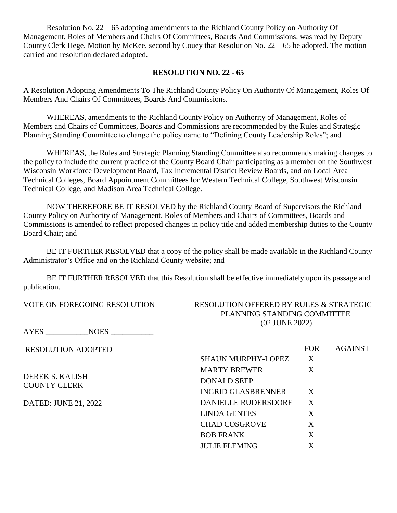Resolution No. 22 – 65 adopting amendments to the Richland County Policy on Authority Of Management, Roles of Members and Chairs Of Committees, Boards And Commissions. was read by Deputy County Clerk Hege. Motion by McKee, second by Couey that Resolution No. 22 – 65 be adopted. The motion carried and resolution declared adopted.

### **RESOLUTION NO. 22 - 65**

A Resolution Adopting Amendments To The Richland County Policy On Authority Of Management, Roles Of Members And Chairs Of Committees, Boards And Commissions.

WHEREAS, amendments to the Richland County Policy on Authority of Management, Roles of Members and Chairs of Committees, Boards and Commissions are recommended by the Rules and Strategic Planning Standing Committee to change the policy name to "Defining County Leadership Roles"; and

WHEREAS, the Rules and Strategic Planning Standing Committee also recommends making changes to the policy to include the current practice of the County Board Chair participating as a member on the Southwest Wisconsin Workforce Development Board, Tax Incremental District Review Boards, and on Local Area Technical Colleges, Board Appointment Committees for Western Technical College, Southwest Wisconsin Technical College, and Madison Area Technical College.

NOW THEREFORE BE IT RESOLVED by the Richland County Board of Supervisors the Richland County Policy on Authority of Management, Roles of Members and Chairs of Committees, Boards and Commissions is amended to reflect proposed changes in policy title and added membership duties to the County Board Chair; and

BE IT FURTHER RESOLVED that a copy of the policy shall be made available in the Richland County Administrator's Office and on the Richland County website; and

BE IT FURTHER RESOLVED that this Resolution shall be effective immediately upon its passage and publication.

VOTE ON FOREGOING RESOLUTION RESOLUTION OFFERED BY RULES & STRATEGIC PLANNING STANDING COMMITTEE (02 JUNE 2022)

AYES NOES

RESOLUTION ADOPTED DEREK S. KALISH COUNTY CLERK DATED: JUNE 21, 2022 FOR AGAINST SHAUN MURPHY-LOPEZ X MARTY BREWER X DONALD SEEP INGRID GLASBRENNER X DANIELLE RUDERSDORF X LINDA GENTES X CHAD COSGROVE X BOB FRANK X JULIE FLEMING X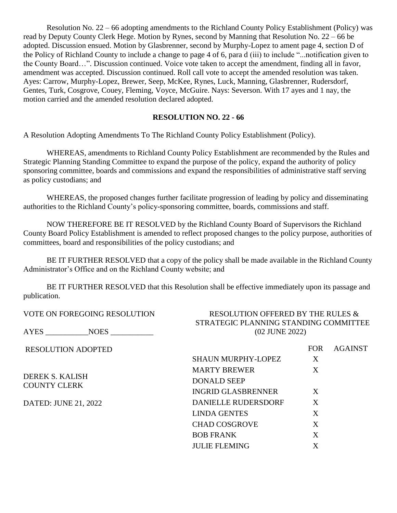Resolution No. 22 – 66 adopting amendments to the Richland County Policy Establishment (Policy) was read by Deputy County Clerk Hege. Motion by Rynes, second by Manning that Resolution No. 22 – 66 be adopted. Discussion ensued. Motion by Glasbrenner, second by Murphy-Lopez to ament page 4, section D of the Policy of Richland County to include a change to page 4 of 6, para d (iii) to include "...notification given to the County Board…". Discussion continued. Voice vote taken to accept the amendment, finding all in favor, amendment was accepted. Discussion continued. Roll call vote to accept the amended resolution was taken. Ayes: Carrow, Murphy-Lopez, Brewer, Seep, McKee, Rynes, Luck, Manning, Glasbrenner, Rudersdorf, Gentes, Turk, Cosgrove, Couey, Fleming, Voyce, McGuire. Nays: Severson. With 17 ayes and 1 nay, the motion carried and the amended resolution declared adopted.

## **RESOLUTION NO. 22 - 66**

A Resolution Adopting Amendments To The Richland County Policy Establishment (Policy).

WHEREAS, amendments to Richland County Policy Establishment are recommended by the Rules and Strategic Planning Standing Committee to expand the purpose of the policy, expand the authority of policy sponsoring committee, boards and commissions and expand the responsibilities of administrative staff serving as policy custodians; and

WHEREAS, the proposed changes further facilitate progression of leading by policy and disseminating authorities to the Richland County's policy-sponsoring committee, boards, commissions and staff.

NOW THEREFORE BE IT RESOLVED by the Richland County Board of Supervisors the Richland County Board Policy Establishment is amended to reflect proposed changes to the policy purpose, authorities of committees, board and responsibilities of the policy custodians; and

BE IT FURTHER RESOLVED that a copy of the policy shall be made available in the Richland County Administrator's Office and on the Richland County website; and

BE IT FURTHER RESOLVED that this Resolution shall be effective immediately upon its passage and publication.

| VOTE ON FOREGOING RESOLUTION           | RESOLUTION OFFERED BY THE RULES &                       |                  |                |
|----------------------------------------|---------------------------------------------------------|------------------|----------------|
| AYES NOES                              | STRATEGIC PLANNING STANDING COMMITTEE<br>(02 JUNE 2022) |                  |                |
| <b>RESOLUTION ADOPTED</b>              |                                                         | <b>FOR</b>       | <b>AGAINST</b> |
|                                        | <b>SHAUN MURPHY-LOPEZ</b>                               | X                |                |
| DEREK S. KALISH<br><b>COUNTY CLERK</b> | <b>MARTY BREWER</b>                                     | X                |                |
|                                        | <b>DONALD SEEP</b>                                      |                  |                |
|                                        | <b>INGRID GLASBRENNER</b>                               | X                |                |
| DATED: JUNE 21, 2022                   | DANIELLE RUDERSDORF                                     | $\boldsymbol{X}$ |                |
|                                        | <b>LINDA GENTES</b>                                     | X                |                |
|                                        | <b>CHAD COSGROVE</b>                                    | X                |                |
|                                        | <b>BOB FRANK</b>                                        | X                |                |
|                                        | <b>JULIE FLEMING</b>                                    | X                |                |
|                                        |                                                         |                  |                |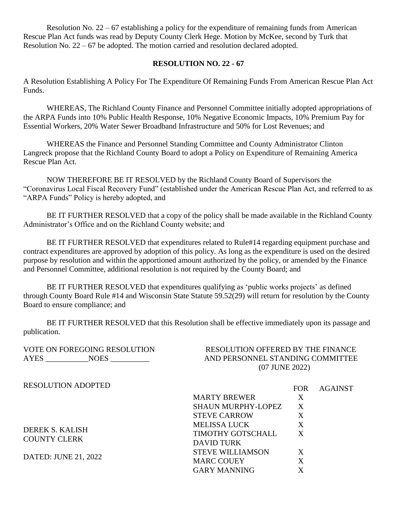Resolution No. 22 – 67 establishing a policy for the expenditure of remaining funds from American Rescue Plan Act funds was read by Deputy County Clerk Hege. Motion by McKee, second by Turk that Resolution No. 22 – 67 be adopted. The motion carried and resolution declared adopted.

### **RESOLUTION NO. 22 - 67**

A Resolution Establishing A Policy For The Expenditure Of Remaining Funds From American Rescue Plan Act Funds.

WHEREAS, The Richland County Finance and Personnel Committee initially adopted appropriations of the ARPA Funds into 10% Public Health Response, 10% Negative Economic Impacts, 10% Premium Pay for Essential Workers, 20% Water Sewer Broadband Infrastructure and 50% for Lost Revenues; and

WHEREAS the Finance and Personnel Standing Committee and County Administrator Clinton Langreck propose that the Richland County Board to adopt a Policy on Expenditure of Remaining America Rescue Plan Act.

NOW THEREFORE BE IT RESOLVED by the Richland County Board of Supervisors the "Coronavirus Local Fiscal Recovery Fund" (established under the American Rescue Plan Act, and referred to as "ARPA Funds" Policy is hereby adopted, and

BE IT FURTHER RESOLVED that a copy of the policy shall be made available in the Richland County Administrator's Office and on the Richland County website; and

BE IT FURTHER RESOLVED that expenditures related to Rule#14 regarding equipment purchase and contract expenditures are approved by adoption of this policy. As long as the expenditure is used on the desired purpose by resolution and within the apportioned amount authorized by the policy, or amended by the Finance and Personnel Committee, additional resolution is not required by the County Board; and

BE IT FURTHER RESOLVED that expenditures qualifying as 'public works projects' as defined through County Board Rule #14 and Wisconsin State Statute 59.52(29) will return for resolution by the County Board to ensure compliance; and

BE IT FURTHER RESOLVED that this Resolution shall be effective immediately upon its passage and publication.

| <b>VOTE ON FOREGOING RESOLUTION</b><br><b>AYES</b><br><b>NOES</b> | <b>RESOLUTION OFFERED BY THE FINANCE</b><br>AND PERSONNEL STANDING COMMITTEE<br>(07 JUNE 2022) |            |                |
|-------------------------------------------------------------------|------------------------------------------------------------------------------------------------|------------|----------------|
| <b>RESOLUTION ADOPTED</b>                                         |                                                                                                | <b>FOR</b> | <b>AGAINST</b> |
|                                                                   | <b>MARTY BREWER</b>                                                                            | X          |                |
|                                                                   | <b>SHAUN MURPHY-LOPEZ</b>                                                                      | X          |                |
|                                                                   | <b>STEVE CARROW</b>                                                                            | X          |                |
| DEREK S. KALISH                                                   | <b>MELISSA LUCK</b>                                                                            | X          |                |
|                                                                   | TIMOTHY GOTSCHALL                                                                              | X          |                |
| <b>COUNTY CLERK</b>                                               | <b>DAVID TURK</b>                                                                              |            |                |
|                                                                   | <b>STEVE WILLIAMSON</b>                                                                        | X          |                |
| DATED: JUNE 21, 2022                                              | <b>MARC COUEY</b>                                                                              | X          |                |
|                                                                   | <b>GARY MANNING</b>                                                                            | X          |                |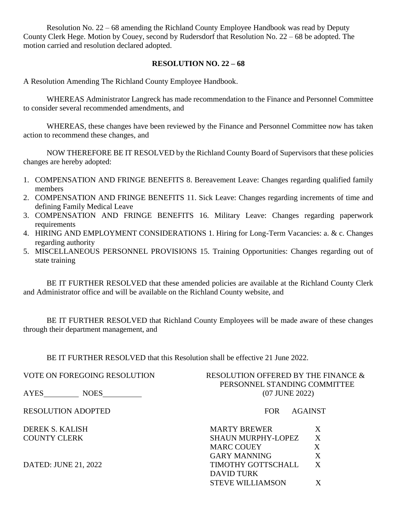Resolution No. 22 – 68 amending the Richland County Employee Handbook was read by Deputy County Clerk Hege. Motion by Couey, second by Rudersdorf that Resolution No. 22 – 68 be adopted. The motion carried and resolution declared adopted.

### **RESOLUTION NO. 22 – 68**

A Resolution Amending The Richland County Employee Handbook.

WHEREAS Administrator Langreck has made recommendation to the Finance and Personnel Committee to consider several recommended amendments, and

WHEREAS, these changes have been reviewed by the Finance and Personnel Committee now has taken action to recommend these changes, and

NOW THEREFORE BE IT RESOLVED by the Richland County Board of Supervisors that these policies changes are hereby adopted:

- 1. COMPENSATION AND FRINGE BENEFITS 8. Bereavement Leave: Changes regarding qualified family members
- 2. COMPENSATION AND FRINGE BENEFITS 11. Sick Leave: Changes regarding increments of time and defining Family Medical Leave
- 3. COMPENSATION AND FRINGE BENEFITS 16. Military Leave: Changes regarding paperwork requirements
- 4. HIRING AND EMPLOYMENT CONSIDERATIONS 1. Hiring for Long-Term Vacancies: a. & c. Changes regarding authority
- 5. MISCELLANEOUS PERSONNEL PROVISIONS 15. Training Opportunities: Changes regarding out of state training

BE IT FURTHER RESOLVED that these amended policies are available at the Richland County Clerk and Administrator office and will be available on the Richland County website, and

BE IT FURTHER RESOLVED that Richland County Employees will be made aware of these changes through their department management, and

BE IT FURTHER RESOLVED that this Resolution shall be effective 21 June 2022.

VOTE ON FOREGOING RESOLUTION RESOLUTION OFFERED BY THE FINANCE & PERSONNEL STANDING COMMITTEE AYES NOES NOES (07 JUNE 2022) RESOLUTION ADOPTED FOR AGAINST DEREK S. KALISH MARTY BREWER X COUNTY CLERK SHAUN MURPHY-LOPEZ X MARC COUEY X GARY MANNING X DATED: JUNE 21, 2022 TIMOTHY GOTTSCHALL X DAVID TURK

STEVE WILLIAMSON X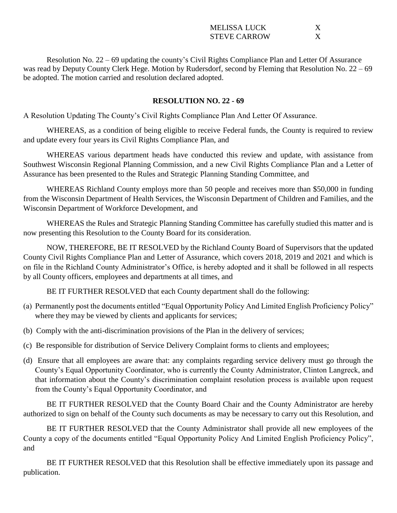| MELISSA LUCK        |  |
|---------------------|--|
| <b>STEVE CARROW</b> |  |

Resolution No. 22 – 69 updating the county's Civil Rights Compliance Plan and Letter Of Assurance was read by Deputy County Clerk Hege. Motion by Rudersdorf, second by Fleming that Resolution No. 22 – 69 be adopted. The motion carried and resolution declared adopted.

### **RESOLUTION NO. 22 - 69**

A Resolution Updating The County's Civil Rights Compliance Plan And Letter Of Assurance.

WHEREAS, as a condition of being eligible to receive Federal funds, the County is required to review and update every four years its Civil Rights Compliance Plan, and

WHEREAS various department heads have conducted this review and update, with assistance from Southwest Wisconsin Regional Planning Commission, and a new Civil Rights Compliance Plan and a Letter of Assurance has been presented to the Rules and Strategic Planning Standing Committee, and

WHEREAS Richland County employs more than 50 people and receives more than \$50,000 in funding from the Wisconsin Department of Health Services, the Wisconsin Department of Children and Families, and the Wisconsin Department of Workforce Development, and

WHEREAS the Rules and Strategic Planning Standing Committee has carefully studied this matter and is now presenting this Resolution to the County Board for its consideration.

NOW, THEREFORE, BE IT RESOLVED by the Richland County Board of Supervisors that the updated County Civil Rights Compliance Plan and Letter of Assurance, which covers 2018, 2019 and 2021 and which is on file in the Richland County Administrator's Office, is hereby adopted and it shall be followed in all respects by all County officers, employees and departments at all times, and

BE IT FURTHER RESOLVED that each County department shall do the following:

- (a) Permanently post the documents entitled "Equal Opportunity Policy And Limited English Proficiency Policy" where they may be viewed by clients and applicants for services;
- (b) Comply with the anti-discrimination provisions of the Plan in the delivery of services;
- (c) Be responsible for distribution of Service Delivery Complaint forms to clients and employees;
- (d) Ensure that all employees are aware that: any complaints regarding service delivery must go through the County's Equal Opportunity Coordinator, who is currently the County Administrator, Clinton Langreck, and that information about the County's discrimination complaint resolution process is available upon request from the County's Equal Opportunity Coordinator, and

BE IT FURTHER RESOLVED that the County Board Chair and the County Administrator are hereby authorized to sign on behalf of the County such documents as may be necessary to carry out this Resolution, and

BE IT FURTHER RESOLVED that the County Administrator shall provide all new employees of the County a copy of the documents entitled "Equal Opportunity Policy And Limited English Proficiency Policy", and

BE IT FURTHER RESOLVED that this Resolution shall be effective immediately upon its passage and publication.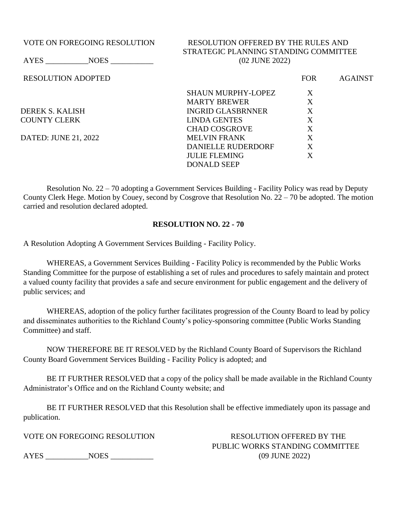## VOTE ON FOREGOING RESOLUTION RESOLUTION OFFERED BY THE RULES AND STRATEGIC PLANNING STANDING COMMITTEE AYES NOES (02 JUNE 2022)

RESOLUTION ADOPTED FOR AGAINST

SHAUN MURPHY-LOPEZ X MARTY BREWER X DEREK S. KALISH INGRID GLASBRNNER X COUNTY CLERK LINDA GENTES X CHAD COSGROVE X DATED: JUNE 21, 2022 MELVIN FRANK X DANIELLE RUDERDORF X JULIE FLEMING X DONALD SEEP

Resolution No. 22 – 70 adopting a Government Services Building - Facility Policy was read by Deputy County Clerk Hege. Motion by Couey, second by Cosgrove that Resolution No. 22 – 70 be adopted. The motion carried and resolution declared adopted.

## **RESOLUTION NO. 22 - 70**

A Resolution Adopting A Government Services Building - Facility Policy.

WHEREAS, a Government Services Building - Facility Policy is recommended by the Public Works Standing Committee for the purpose of establishing a set of rules and procedures to safely maintain and protect a valued county facility that provides a safe and secure environment for public engagement and the delivery of public services; and

WHEREAS, adoption of the policy further facilitates progression of the County Board to lead by policy and disseminates authorities to the Richland County's policy-sponsoring committee (Public Works Standing Committee) and staff.

NOW THEREFORE BE IT RESOLVED by the Richland County Board of Supervisors the Richland County Board Government Services Building - Facility Policy is adopted; and

BE IT FURTHER RESOLVED that a copy of the policy shall be made available in the Richland County Administrator's Office and on the Richland County website; and

BE IT FURTHER RESOLVED that this Resolution shall be effective immediately upon its passage and publication.

AYES NOES NOES (09 JUNE 2022)

VOTE ON FOREGOING RESOLUTION RESOLUTION OFFERED BY THE PUBLIC WORKS STANDING COMMITTEE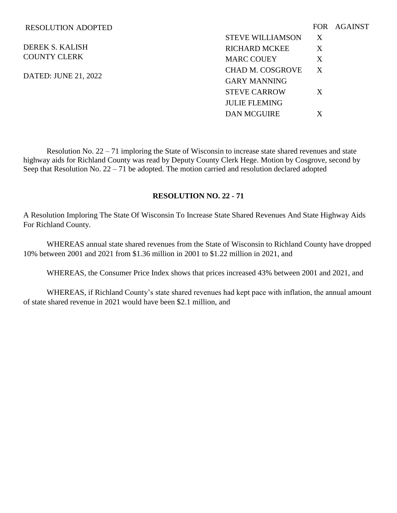#### RESOLUTION ADOPTED

DEREK S. KALISH COUNTY CLERK

DATED: JUNE 21, 2022

|                         |   | FOR AGAINST |
|-------------------------|---|-------------|
| <b>STEVE WILLIAMSON</b> | X |             |
| RICHARD MCKEE           | X |             |
| <b>MARC COUEY</b>       | X |             |
| CHAD M. COSGROVE        | X |             |
| <b>GARY MANNING</b>     |   |             |
| <b>STEVE CARROW</b>     | X |             |
| <b>JULIE FLEMING</b>    |   |             |
| <b>DAN MCGUIRE</b>      | X |             |

Resolution No. 22 – 71 imploring the State of Wisconsin to increase state shared revenues and state highway aids for Richland County was read by Deputy County Clerk Hege. Motion by Cosgrove, second by Seep that Resolution No.  $22 - 71$  be adopted. The motion carried and resolution declared adopted

## **RESOLUTION NO. 22 - 71**

A Resolution Imploring The State Of Wisconsin To Increase State Shared Revenues And State Highway Aids For Richland County.

WHEREAS annual state shared revenues from the State of Wisconsin to Richland County have dropped 10% between 2001 and 2021 from \$1.36 million in 2001 to \$1.22 million in 2021, and

WHEREAS, the Consumer Price Index shows that prices increased 43% between 2001 and 2021, and

WHEREAS, if Richland County's state shared revenues had kept pace with inflation, the annual amount of state shared revenue in 2021 would have been \$2.1 million, and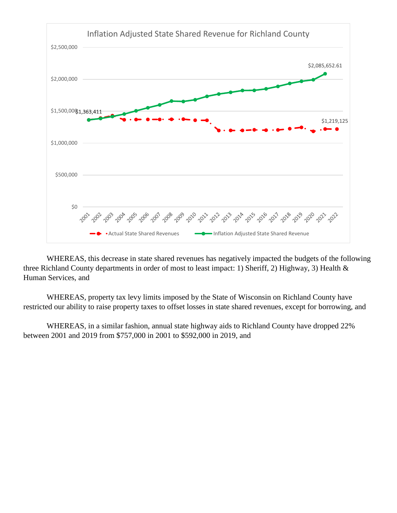

WHEREAS, this decrease in state shared revenues has negatively impacted the budgets of the following three Richland County departments in order of most to least impact: 1) Sheriff, 2) Highway, 3) Health & Human Services, and

WHEREAS, property tax levy limits imposed by the State of Wisconsin on Richland County have restricted our ability to raise property taxes to offset losses in state shared revenues, except for borrowing, and

WHEREAS, in a similar fashion, annual state highway aids to Richland County have dropped 22% between 2001 and 2019 from \$757,000 in 2001 to \$592,000 in 2019, and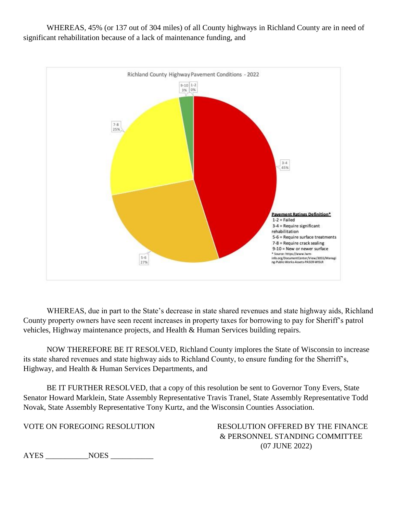WHEREAS, 45% (or 137 out of 304 miles) of all County highways in Richland County are in need of significant rehabilitation because of a lack of maintenance funding, and



WHEREAS, due in part to the State's decrease in state shared revenues and state highway aids, Richland County property owners have seen recent increases in property taxes for borrowing to pay for Sheriff's patrol vehicles, Highway maintenance projects, and Health & Human Services building repairs.

NOW THEREFORE BE IT RESOLVED, Richland County implores the State of Wisconsin to increase its state shared revenues and state highway aids to Richland County, to ensure funding for the Sherriff's, Highway, and Health & Human Services Departments, and

BE IT FURTHER RESOLVED, that a copy of this resolution be sent to Governor Tony Evers, State Senator Howard Marklein, State Assembly Representative Travis Tranel, State Assembly Representative Todd Novak, State Assembly Representative Tony Kurtz, and the Wisconsin Counties Association.

VOTE ON FOREGOING RESOLUTION RESOLUTION OFFERED BY THE FINANCE & PERSONNEL STANDING COMMITTEE (07 JUNE 2022)

AYES NOES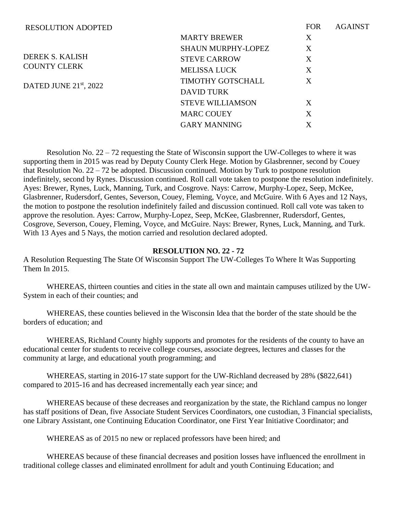| <b>RESOLUTION ADOPTED</b> |                           | <b>FOR</b>                | <b>AGAINST</b> |
|---------------------------|---------------------------|---------------------------|----------------|
|                           | <b>MARTY BREWER</b>       | X                         |                |
|                           | <b>SHAUN MURPHY-LOPEZ</b> | X                         |                |
| DEREK S. KALISH           | <b>STEVE CARROW</b>       | X                         |                |
| <b>COUNTY CLERK</b>       | <b>MELISSA LUCK</b>       | X                         |                |
| DATED JUNE $21st$ , 2022  | TIMOTHY GOTSCHALL         | $\boldsymbol{\mathrm{X}}$ |                |
|                           | <b>DAVID TURK</b>         |                           |                |
|                           | <b>STEVE WILLIAMSON</b>   | X                         |                |
|                           | <b>MARC COUEY</b>         | X                         |                |
|                           | <b>GARY MANNING</b>       | X                         |                |

Resolution No.  $22 - 72$  requesting the State of Wisconsin support the UW-Colleges to where it was supporting them in 2015 was read by Deputy County Clerk Hege. Motion by Glasbrenner, second by Couey that Resolution No. 22 – 72 be adopted. Discussion continued. Motion by Turk to postpone resolution indefinitely, second by Rynes. Discussion continued. Roll call vote taken to postpone the resolution indefinitely. Ayes: Brewer, Rynes, Luck, Manning, Turk, and Cosgrove. Nays: Carrow, Murphy-Lopez, Seep, McKee, Glasbrenner, Rudersdorf, Gentes, Severson, Couey, Fleming, Voyce, and McGuire. With 6 Ayes and 12 Nays, the motion to postpone the resolution indefinitely failed and discussion continued. Roll call vote was taken to approve the resolution. Ayes: Carrow, Murphy-Lopez, Seep, McKee, Glasbrenner, Rudersdorf, Gentes, Cosgrove, Severson, Couey, Fleming, Voyce, and McGuire. Nays: Brewer, Rynes, Luck, Manning, and Turk. With 13 Ayes and 5 Nays, the motion carried and resolution declared adopted.

### **RESOLUTION NO. 22 - 72**

A Resolution Requesting The State Of Wisconsin Support The UW-Colleges To Where It Was Supporting Them In 2015.

WHEREAS, thirteen counties and cities in the state all own and maintain campuses utilized by the UW-System in each of their counties; and

WHEREAS, these counties believed in the Wisconsin Idea that the border of the state should be the borders of education; and

WHEREAS, Richland County highly supports and promotes for the residents of the county to have an educational center for students to receive college courses, associate degrees, lectures and classes for the community at large, and educational youth programming; and

WHEREAS, starting in 2016-17 state support for the UW-Richland decreased by 28% (\$822,641) compared to 2015-16 and has decreased incrementally each year since; and

WHEREAS because of these decreases and reorganization by the state, the Richland campus no longer has staff positions of Dean, five Associate Student Services Coordinators, one custodian, 3 Financial specialists, one Library Assistant, one Continuing Education Coordinator, one First Year Initiative Coordinator; and

WHEREAS as of 2015 no new or replaced professors have been hired; and

WHEREAS because of these financial decreases and position losses have influenced the enrollment in traditional college classes and eliminated enrollment for adult and youth Continuing Education; and